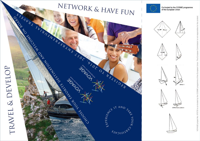## ARTICLE AND RECEIVED AT A THREE AND RECEIVED AND RECEIVED AND RECEIVED AND RECEIVED AND RECEIVED AND RECEIVED AND RECEIVED AND RECEIVED AND RECEIVED AND RECEIVED AND RECEIVED AND RECEIVED AND RECEIVED AND RECEIVED AND RECE TRAVEL & DEVELOP



EXERCE IT AND THE

STATIFICATE



Co-funded by the COSME programme of the European Union